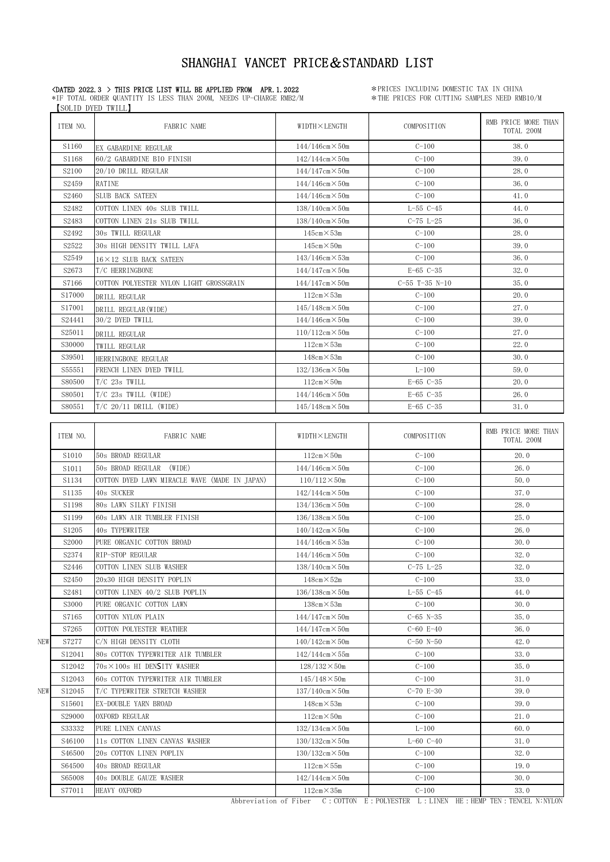### «DATED 2022.3 > THIS PRICE LIST WILL BE APPLIED FROM APR.1.2022 \*\*\* PRICES INCLUDING DOMESTIC TAX IN CHINA

\*IF TOTAL ORDER QUANTITY IS LESS THAN 200M, NEEDS UP-CHARGE RMB2/M \*THE PRICES FOR CUTTING SAMPLES NEED RMB10/M SOLID DYED TWILL

|     | ITEM NO.          | FABRIC NAME                                   | WIDTH X LENGTH            | COMPOSITION      | RMB PRICE MORE THAN<br>TOTAL 200M |
|-----|-------------------|-----------------------------------------------|---------------------------|------------------|-----------------------------------|
|     | S1160             | EX GABARDINE REGULAR                          | $144/146$ cm $\times$ 50m | $C-100$          | 38.0                              |
|     | S1168             | 60/2 GABARDINE BIO FINISH                     | $142/144cm \times 50m$    | $C-100$          | 39.0                              |
|     | S <sub>2100</sub> | 20/10 DRILL REGULAR                           | $144/147$ cm $\times$ 50m | $C-100$          | 28.0                              |
|     | S <sub>2459</sub> | RATINE                                        | $144/146$ cm $\times$ 50m | $C-100$          | 36.0                              |
|     | S <sub>2460</sub> | SLUB BACK SATEEN                              | $144/146$ cm $\times$ 50m | $C-100$          | 41.0                              |
|     | S2482             | COTTON LINEN 40s SLUB TWILL                   | $138/140$ cm $\times$ 50m | $L-55$ $C-45$    | 44.0                              |
|     | S2483             | COTTON LINEN 21s SLUB TWILL                   | $138/140$ cm $\times$ 50m | $C-75 L-25$      | 36.0                              |
|     | S2492             | 30s TWILL REGULAR                             | $145cm \times 53m$        | $C-100$          | 28.0                              |
|     | S2522             | 30s HIGH DENSITY TWILL LAFA                   | $145cm \times 50m$        | $C-100$          | 39.0                              |
|     | S2549             | $16 \times 12$ SLUB BACK SATEEN               | $143/146$ cm $\times$ 53m | $C-100$          | 36.0                              |
|     | S <sub>2673</sub> | T/C HERRINGBONE                               | $144/147$ cm $\times$ 50m | $E-65$ $C-35$    | 32.0                              |
|     | S7166             | COTTON POLYESTER NYLON LIGHT GROSSGRAIN       | $144/147$ cm $\times$ 50m | $C-55$ T-35 N-10 | 35.0                              |
|     | S17000            | DRILL REGULAR                                 | $112cm \times 53m$        | $C-100$          | 20.0                              |
|     | S17001            | DRILL REGULAR (WIDE)                          | $145/148$ cm $\times$ 50m | $C-100$          | 27.0                              |
|     | S24441            | 30/2 DYED TWILL                               | $144/146$ cm $\times$ 50m | $C-100$          | 39.0                              |
|     | S25011            | DRILL REGULAR                                 | $110/112$ cm $\times$ 50m | $C-100$          | 27.0                              |
|     | S30000            | TWILL REGULAR                                 | $112cm \times 53m$        | $C-100$          | 22.0                              |
|     | S39501            | HERRINGBONE REGULAR                           | $148cm \times 53m$        | $C-100$          | 30.0                              |
|     | S55551            | FRENCH LINEN DYED TWILL                       | $132/136$ cm $\times$ 50m | $L-100$          | 59.0                              |
|     | S80500            | $T/C$ 23s TWILL                               | $112cm \times 50m$        | $E-65$ $C-35$    | 20.0                              |
|     | S80501            | $T/C$ 23s TWILL (WIDE)                        | $144/146$ cm $\times$ 50m | $E-65$ $C-35$    | 26.0                              |
|     | S80551            | $T/C$ 20/11 DRILL (WIDE)                      | $145/148$ cm $\times$ 50m | $E-65$ $C-35$    | 31.0                              |
|     |                   |                                               |                           |                  |                                   |
|     | ITEM NO.          | FABRIC NAME                                   | WIDTH X LENGTH            | COMPOSITION      | RMB PRICE MORE THAN<br>TOTAL 200M |
|     | S <sub>1010</sub> | 50s BROAD REGULAR                             | $112cm \times 50m$        | $C-100$          | 20.0                              |
|     | S1011             | 50s BROAD REGULAR<br>(WIDE)                   | $144/146$ cm $\times$ 50m | $C-100$          | 26.0                              |
|     | S1134             | COTTON DYED LAWN MIRACLE WAVE (MADE IN JAPAN) | $110/112 \times 50m$      | $C-100$          | 50.0                              |
|     | S1135             | 40s SUCKER                                    | $142/144$ cm $\times$ 50m | $C-100$          | 37.0                              |
|     | S1198             | 80s LAWN SILKY FINISH                         | $134/136cm \times 50m$    | $C-100$          | 28.0                              |
|     | S1199             | 60s LAWN AIR TUMBLER FINISH                   | $136/138$ cm $\times$ 50m | $C-100$          | 25.0                              |
|     | S1205             | 40s TYPEWRITER                                | $140/142$ cm $\times$ 50m | $C-100$          | 26.0                              |
|     | S2000             | PURE ORGANIC COTTON BROAD                     | $144/146$ cm $\times$ 53m | $C-100$          | 30.0                              |
|     | S2374             | RIP-STOP REGULAR                              | $144/146$ cm $\times$ 50m | $C-100$          | 32.0                              |
|     | S2446             | COTTON LINEN SLUB WASHER                      | $138/140$ cm $\times$ 50m | $C-75$ $L-25$    | 32.0                              |
|     | S <sub>2450</sub> | 20x30 HIGH DENSITY POPLIN                     | $148cm \times 52m$        | $C-100$          | 33.0                              |
|     | S2481             | COTTON LINEN 40/2 SLUB POPLIN                 | $136/138$ cm $\times$ 50m | $L-55$ $C-45$    | 44.0                              |
|     | S3000             | PURE ORGANIC COTTON LAWN                      | $138cm \times 53m$        | $C-100$          | 30.0                              |
|     | S7165             | COTTON NYLON PLAIN                            | $144/147$ cm $\times$ 50m | $C-65$ N-35      | 35.0                              |
|     | S7265             | COTTON POLYESTER WEATHER                      | $144/147$ cm $\times$ 50m | $C-60$ E-40      | 36.0                              |
| NEW | S7277             | C/N HIGH DENSITY CLOTH                        | $140/142$ cm $\times$ 50m | $C-50$ N-50      | 42.0                              |
|     | S12041            | 80s COTTON TYPEWRITER AIR TUMBLER             | $142/144$ cm $\times$ 55m | $C-100$          | 33.0                              |
|     | S12042            | $70s \times 100s$ HI DENSITY WASHER           | $128/132 \times 50m$      | $C-100$          | 35.0                              |
|     | S12043            | 60s COTTON TYPEWRITER AIR TUMBLER             | $145/148 \times 50m$      | $C-100$          | 31.0                              |
| NEW | S12045            | T/C TYPEWRITER STRETCH WASHER                 | $137/140$ cm $\times$ 50m | $C-70 E-30$      | 39.0                              |
|     | S15601            | EX-DOUBLE YARN BROAD                          | $148cm \times 53m$        | $C - 100$        | 39.0                              |
|     | S29000            | OXFORD REGULAR                                | $112cm \times 50m$        | $C-100$          | 21.0                              |
|     | S33332            | PURE LINEN CANVAS                             | $132/134cm \times 50m$    | $L-100$          | 60.0                              |
|     | S46100            | 11s COTTON LINEN CANVAS WASHER                | $130/132$ cm $\times$ 50m | $L-60$ $C-40$    | 31.0                              |
|     | S46500            | 20s COTTON LINEN POPLIN                       | $130/132$ cm $\times$ 50m | $C-100$          | 32.0                              |
|     | S64500            | 40s BROAD REGULAR                             | $112cm \times 55m$        | $C-100$          | 19.0                              |
|     | S65008            | 40s DOUBLE GAUZE WASHER                       | $142/144$ cm $\times$ 50m | $C-100$          | 30.0                              |
|     | S77011            | HEAVY OXFORD                                  | $112cm \times 35m$        | $C-100$          | 33.0                              |
|     |                   |                                               |                           |                  |                                   |

Abbreviation of Fiber C:COTTON E: POLYESTER L:LINEN HE:HEMP TEN:TENCEL N:NYLON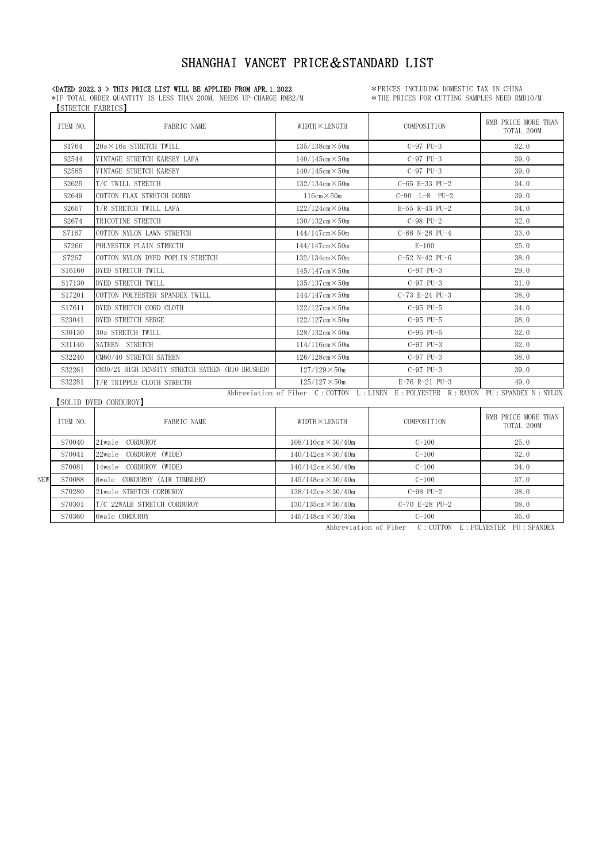【STRETCH FABRICS】 \*IF TOTAL ORDER QUANTITY IS LESS THAN 200M, NEEDS UP-CHARGE RMB2/M

**CDATED 2022.3 > THIS PRICE LIST WILL BE APPLIED FROM APR.1.2022** \*\* PRICES INCLUDING DOMESTIC TAX IN CHINA<br>\*IF TOTAL ORDER QUANTITY IS LESS THAN 200M, NEEDS UP-CHARGE RMB2/M \*\* THE PRICES FOR CUTTING SAMPLES NEED RMB10/M

| TTEM NO. | FABRIC NAME                                       | WIDTH×LENGTH                    | COMPOSITION                                              | RMB PRICE MORE THAN<br>TOTAL 200M |
|----------|---------------------------------------------------|---------------------------------|----------------------------------------------------------|-----------------------------------|
| S1764    | $20s \times 16s$ STRETCH TWILL                    | $135/138$ cm $\times$ 50m       | $C-97$ PU $-3$                                           | 32.0                              |
| S2544    | VINTAGE STRETCH KARSEY LAFA                       | $140/145$ cm $\times$ 50m       | $C-97$ PU-3                                              | 39.0                              |
| S2585    | VINTAGE STRETCH KARSEY                            | $140/145cm \times 50m$          | $C-97$ PU $-3$                                           | 39.0                              |
| S2625    | T/C TWILL STRETCH                                 | $132/134cm \times 50m$          | C-65 E-33 PU-2                                           | 34.0                              |
| S2649    | COTTON FLAX STRETCH DOBBY                         | $116cm \times 50m$              | $C-90$ $L-8$ $PU-2$                                      | 39.0                              |
| S2657    | T/R STRETCH TWILL LAFA                            | $122/124cm \times 50m$          | $E-55$ R-43 PU-2                                         | 34.0                              |
| S2674    | TRICOTINE STRETCH                                 | $130/132cm \times 50m$          | $C-98$ PU $-2$                                           | 32.0                              |
| S7167    | COTTON NYLON LAWN STRETCH                         | $144/147$ cm $\times$ 50m       | $C-68$ N-28 PU-4                                         | 33.0                              |
| S7266    | POLYESTER PLAIN STRECTH                           | $144/147$ cm $\times$ 50m       | $E-100$                                                  | 25.0                              |
| S7267    | COTTON NYLON DYED POPLIN STRETCH                  | $132/134cm \times 50m$          | $C-52$ N-42 PU-6                                         | 38.0                              |
| S16160   | DYED STRETCH TWILL                                | $145/147$ cm $\times$ 50m       | $C-97$ PU $-3$                                           | 29.0                              |
| S17130   | DYED STRETCH TWILL                                | $135/137cm \times 50m$          | $C-97$ PU $-3$                                           | 31.0                              |
| S17201   | COTTON POLYESTER SPANDEX TWILL                    | $144/147$ cm $\times$ 50m       | C-73 E-24 PU-3                                           | 38.0                              |
| S17611   | DYED STRETCH CORD CLOTH                           | $122/127$ cm $\times$ 50m       | $C-95$ PU $-5$                                           | 34.0                              |
| S23041   | DYED STRETCH SERGE                                | $122/127$ cm $\times$ 50m       | $C-95$ PU $-5$                                           | 38.0                              |
| S30130   | 30s STRETCH TWILL                                 | $128/132cm \times 50m$          | $C-95$ PU $-5$                                           | 32.0                              |
| S31140   | SATEEN STRETCH                                    | $114/116$ cm $\times$ 50m       | $C-97$ PU $-3$                                           | 32.0                              |
| S32240   | CM60/40 STRETCH SATEEN                            | $126/128$ cm $\times$ 50m       | $C-97$ PU $-3$                                           | 38.0                              |
| S32261   | CM30/21 HIGH DENSITY STRETCH SATEEN (BIO BRUSHED) | $127/129 \times 50m$            | $C-97$ PU $-3$                                           | 39.0                              |
| S32281   | T/R TRIPPLE CLOTH STRECTH                         | $125/127 \times 50m$            | E-76 R-21 PU-3                                           | 49.0                              |
|          |                                                   | Abbreviation of Fiber C: COTTON | L : LINEN E : POLYESTER R : RAYON PU : SPANDEX N : NYLON |                                   |

【SOLID DYED CORDUROY】

|     | ITEM NO. | FABRIC NAME                  | WIDTH×LENGTH                  | COMPOSITION      | RMB PRICE MORE THAN<br>TOTAL 200M |
|-----|----------|------------------------------|-------------------------------|------------------|-----------------------------------|
|     | S70040   | 21wale CORDUROY              | $108/110$ cm $\times 30/40$ m | $C-100$          | 25.0                              |
| NEW | S70041   | 22wale CORDUROY (WIDE)       | $140/142$ cm $\times$ 30/40m  | $C-100$          | 32.0                              |
|     | S70081   | CORDUROY (WIDE)<br>14wale    | $140/142$ cm $\times$ 30/40m  | $C-100$          | 34.0                              |
|     | S70088   | 8wale CORDUROY (AIR TUMBLER) | $145/148$ cm $\times$ 30/40m  | $C-100$          | 37.0                              |
|     | S70280   | 21wale STRETCH CORDUROY      | $138/142$ cm $\times 30/40$ m | $C-98$ PU $-2$   | 38.0                              |
|     | S70301   | T/C 22WALE STRETCH CORDUROY  | $130/135$ cm $\times 30/40$ m | $C-70$ E-28 PU-2 | 38.0                              |
|     | S70360   | 6wale CORDUROY               | $145/148$ cm $\times$ 30/35m  | $C-100$          | 35.0                              |

Abbreviation of Fiber C:COTTON E:POLYESTER PU:SPANDEX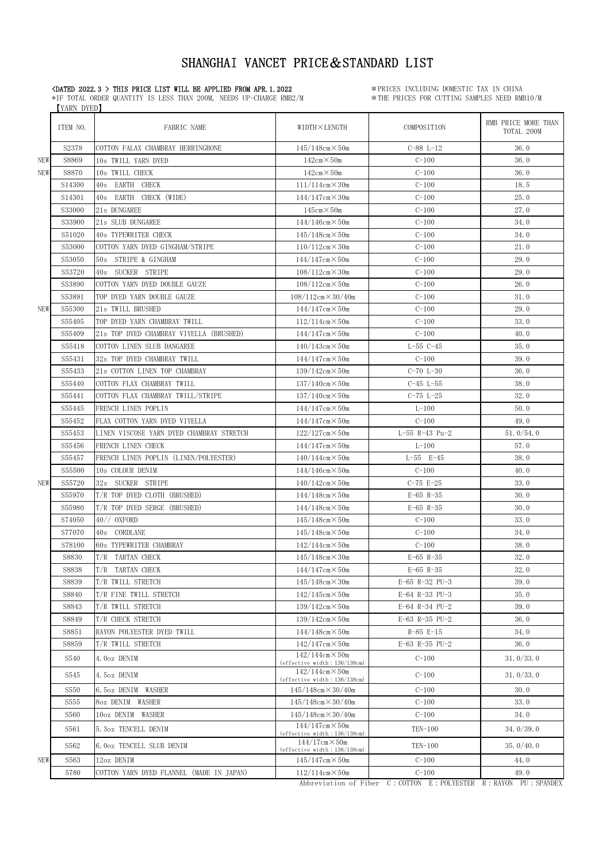\*IF TOTAL ORDER QUANTITY IS LESS THAN 200M, NEEDS UP-CHARGE RMB2/M 【YARN DYED】

**CDATED 2022.3 > THIS PRICE LIST WILL BE APPLIED FROM APR.1.2022** \*\* PRICES INCLUDING DOMESTIC TAX IN CHINA<br>\*IF TOTAL ORDER QUANTITY IS LESS THAN 200M, NEEDS UP-CHARGE RMB2/M \*\* THE PRICES FOR CUTTING SAMPLES NEED RMB10/M

|            | ITEM NO. | FABRIC NAME                              | WIDTH×LENGTH                                              | COMPOSITION      | RMB PRICE MORE THAN<br>TOTAL 200M |
|------------|----------|------------------------------------------|-----------------------------------------------------------|------------------|-----------------------------------|
|            | S2378    | COTTON FALAX CHAMBRAY HERRINGBONE        | $145/148$ cm $\times$ 50m                                 | $C-88 L-12$      | 36.0                              |
| NEW        | S8869    | 10s TWILL YARN DYED                      | $142cm \times 50m$                                        | $C-100$          | 36.0                              |
| NEW        | S8870    | 10s TWILL CHECK                          | $142cm \times 50m$                                        | $C-100$          | 36.0                              |
|            | S14300   | 40s EARTH CHECK                          | $111/114$ cm $\times$ 30m                                 | $C-100$          | 18.5                              |
|            | S14301   | 40s EARTH CHECK (WIDE)                   | $144/147$ cm $\times$ 30m                                 | $C-100$          | 25.0                              |
|            | S33000   | 21s DUNGAREE                             | $145cm \times 50m$                                        | $C-100$          | 27.0                              |
|            | S33900   | 21s SLUB DUNGAREE                        | $144/146$ cm $\times$ 50m                                 | $C-100$          | 34.0                              |
|            | S51020   | 40s TYPEWRITER CHECK                     | $145/148$ cm $\times$ 50m                                 | $C-100$          | 34.0                              |
|            | S53000   | COTTON YARN DYED GINGHAM/STRIPE          | $110/112$ cm $\times$ 30m                                 | $C-100$          | 21.0                              |
|            | S53050   | 50s STRIPE & GINGHAM                     | $144/147$ cm $\times$ 50m                                 | $C - 100$        | 29.0                              |
|            | S53720   | 40s SUCKER STRIPE                        | $108/112$ cm $\times$ 30m                                 | $C-100$          | 29.0                              |
|            | S53890   | COTTON YARN DYED DOUBLE GAUZE            | $108/112$ cm $\times$ 50m                                 | $C-100$          | 26.0                              |
|            | S53891   | TOP DYED YARN DOUBLE GAUZE               | $108/112$ cm $\times$ 30/40m                              | $C-100$          | 31.0                              |
| <b>NEW</b> | S55300   | 21s TWILL BRUSHED                        | $144/147$ cm $\times$ 50m                                 | $C-100$          | 29.0                              |
|            | S55405   | TOP DYED YARN CHAMBRAY TWILL             | $112/114$ cm $\times$ 50m                                 | $C-100$          | 33.0                              |
|            | S55409   | 21s TOP DYED CHAMBRAY VIYELLA (BRUSHED)  | $144/147$ cm $\times$ 50m                                 | $C-100$          | 40.0                              |
|            | S55418   | COTTON LINEN SLUB DANGAREE               | $140/143cm \times 50m$                                    | $L-55$ $C-45$    | 35.0                              |
|            | S55431   | 32s TOP DYED CHAMBRAY TWILL              | $144/147$ cm $\times$ 50m                                 | $C-100$          | 39.0                              |
|            | S55433   | 21s COTTON LINEN TOP CHAMBRAY            | $139/142$ cm $\times$ 50m                                 | $C-70 L-30$      | 36.0                              |
|            | S55440   | COTTON FLAX CHAMBRAY TWILL               | $137/140cm \times 50m$                                    | $C-45$ $L-55$    | 38.0                              |
|            | S55441   | COTTON FLAX CHAMBRAY TWILL/STRIPE        | $137/140$ cm $\times$ 50m                                 | $C-75 L-25$      | 32.0                              |
|            | S55445   | FRENCH LINEN POPLIN                      | $144/147$ cm $\times$ 50m                                 | $L-100$          | 50.0                              |
|            | S55452   | FLAX COTTON YARN DYED VIYELLA            | $144/147$ cm $\times$ 50m                                 | $C-100$          | 49.0                              |
|            | S55453   | LINEN VISCOSE YARN DYED CHAMBRAY STRETCH | $122/127$ cm $\times$ 50m                                 | $L-55$ R-43 Pu-2 | 51.0/54.0                         |
|            | S55456   | FRENCH LINEN CHECK                       | $144/147$ cm $\times$ 50m                                 | $L-100$          | 57.0                              |
|            | S55457   | FRENCH LINEN POPLIN (LINEN/POLYESTER)    | $140/144$ cm $\times$ 50m                                 | $L-55$ $E-45$    | 38.0                              |
|            | S55500   | 10s COLOUR DENIM                         | $144/146$ cm $\times$ 50m                                 | $C-100$          | 40.0                              |
| <b>NEW</b> | S55720   | 32s SUCKER STRIPE                        | $140/142$ cm $\times$ 50m                                 | $C-75 E-25$      | 33.0                              |
|            | S55970   | T/R TOP DYED CLOTH (BRUSHED)             | $144/148$ cm $\times$ 50m                                 | $E-65$ R-35      | 30.0                              |
|            | S55980   | T/R TOP DYED SERGE (BRUSHED)             | $144/148$ cm $\times$ 50m                                 | $E-65$ R-35      | 30.0                              |
|            | S74050   | $40//$ OXFORD                            | $145/148$ cm $\times$ 50m                                 | $C-100$          | 33.0                              |
|            | S77070   | 40s CORDLANE                             | $145/148$ cm $\times$ 50m                                 | $C-100$          | 34.0                              |
|            | S78100   | 60s TYPEWRITER CHAMBRAY                  | $142/144cm \times 50m$                                    | $C-100$          | 38.0                              |
|            | S8830    | T/R TARTAN CHECK                         | $145/148$ cm $\times$ 30m                                 | $E-65$ R-35      | 32.0                              |
|            | S8838    | T/R TARTAN CHECK                         | $144/147$ cm $\times$ 50m                                 | $E-65$ R-35      | 32.0                              |
|            | S8839    | T/R TWILL STRETCH                        | $145/148$ cm $\times$ 30m                                 | E-65 R-32 PU-3   | 39.0                              |
|            | S8840    | T/R FINE TWILL STRETCH                   | $142/145$ cm $\times$ 50m                                 | E-64 R-33 PU-3   | 35.0                              |
|            | S8843    | T/R TWILL STRETCH                        | $139/142$ cm $\times$ 50m                                 | E-64 R-34 PU-2   | 39.0                              |
|            | S8849    | T/R CHECK STRETCH                        | $139/142$ cm $\times$ 50m                                 | E-63 R-35 PU-2   | 36.0                              |
|            | S8851    | RAYON POLYESTER DYED TWILL               | $144/148$ cm $\times$ 50m                                 | $R-85 E-15$      | 34.0                              |
|            | S8859    | T/R TWILL STRETCH                        | $142/147$ cm $\times$ 50m                                 | E-63 R-35 PU-2   | 36.0                              |
|            | S540     | 4.0oz DENIM                              | $142/144cm \times 50m$<br>(effective width: 136/138cm)    | $C-100$          | 31.0/33.0                         |
|            | S545     | 4.5oz DENIM                              | $142/144cm \times 50m$<br>(effective width: 136/138cm)    | $C-100$          | 31.0/33.0                         |
|            | S550     | 6.5oz DENIM<br>WASHER                    | $145/148$ cm $\times$ 30/40m                              | $C-100$          | 30.0                              |
|            | S555     | 8oz DENIM WASHER                         | $145/148$ cm $\times$ 30/40m                              | $C-100$          | 33.0                              |
|            | S560     | 10oz DENIM WASHER                        | $145/148$ cm $\times$ 30/40m                              | $C-100$          | 34.0                              |
|            | S561     | 5.3oz TENCELL DENIM                      | $144/147$ cm $\times$ 50m<br>(effective width: 136/138cm) | TEN-100          | 34.0/39.0                         |
|            | S562     | 6.0oz TENCELL SLUB DENIM                 | $144/17$ cm $\times$ 50m<br>(effective width: 136/138cm)  | TEN-100          | 35.0/40.0                         |
| NEW        | S563     | 12oz DENIM                               | $145/147$ cm $\times$ 50m                                 | $C-100$          | 44.0                              |
|            | 5780     | COTTON YARN DYED FLANNEL (MADE IN JAPAN) | $112/114$ cm $\times$ 50m                                 | $C-100$          | 49.0                              |

Abbreviation of Fiber C: COTTON E: POLYESTER R: RAYON PU: SPANDEX